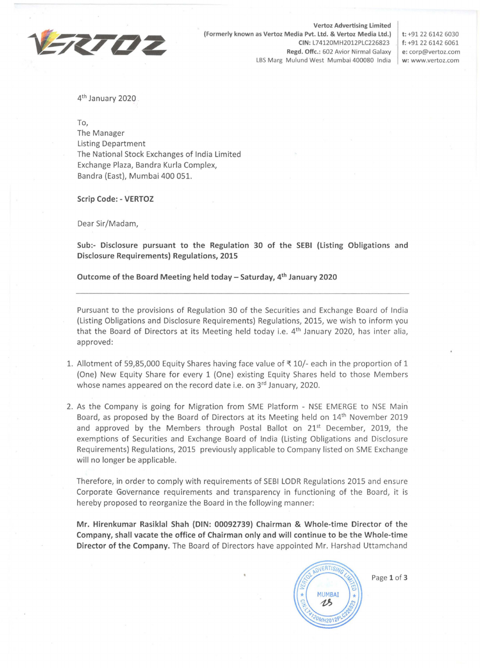

**Vertoz Advertising Limited (Formerly known as Vertoz Media Pvt. Ltd. & Vertoz Media Ltd.} t:** +91 22 6142 6030 **CIN:** L74120MH2012PLC226823 **f:** +91 22 6142 6061 **Regd. Offc.:** 602 Avior Nirmal Galaxy **e:** corp@vertoz.com LBS Marg Mulund West Mumbai 400080 India **w:** www.vertoz.com

4th January 2020

To,

The Manager Listing Department The National Stock Exchanges of India Limited Exchange Plaza, Bandra Kurla Complex, Bandra (East), Mumbai 400 051.

## **Scrip Code: - VERTOZ**

Dear Sir/Madam,

**Sub:- Disclosure pursuant to the Regulation 30 of the SEBI (Listing Obligations and Disclosure Requirements) Regulations, 2015** 

**Outcome of the Board Meeting held today - Saturday, 4th January 2020** 

Pursuant to the provisions of Regulation 30 of the Securities and Exchange Board of India (Listing Obligations and Disclosure Requirements) Regulations, 2015, we wish to inform you that the Board of Directors at its Meeting held today i.e.  $4<sup>th</sup>$  January 2020, has inter alia, approved:

- 1. Allotment of 59,85,000 Equity Shares having face value of  $\overline{\tau}$  10/- each in the proportion of 1 {One) New Equity Share for every 1 (One) existing Equity Shares held to those Members whose names appeared on the record date i.e. on 3rd January, 2020.
- 2. As the Company is going for Migration from SME Platform NSE EMERGE to NSE Main Board, as proposed by the Board of Directors at its Meeting held on 14<sup>th</sup> November 2019 and approved by the Members through Postal Ballot on 21<sup>st</sup> December, 2019, the exemptions of Securities and Exchange Board of India (Listing Obligations and Disclosure Requirements) Regulations, 2015 previously applicable to Company listed on SME Exchange will no longer be applicable.

Therefore, in order to comply with requirements of SEBI LODR Regulations 2015 and ensure Corporate Governance requirements and transparency in functioning of the Board, it is hereby proposed to reorganize the Board in the following manner:

**Mr. Hirenkumar Rasiklal Shah (DIN: 00092739) Chairman & Whole-time Director of the Company, shall vacate the office of Chairman only and will continue to be the Whole-time Director of the Company.** The Board of Directors have appointed Mr. Harshad Uttamchand



Page **1** of **3**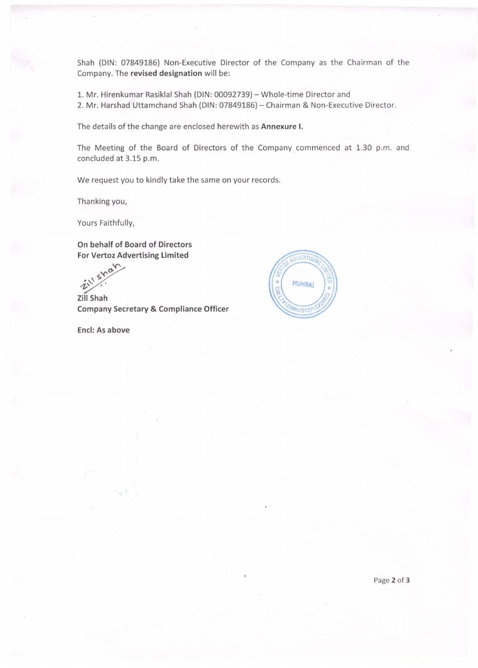Shah {DIN: 07849186) Non-Executive Director of the Company as the Chairman of the Company. The **revised designation** will be:

1. Mr. Hirenkumar Rasiklal Shah (DIN: 00092739) - Whole-time Director and 2. Mr. Harshad Uttamchand Shah (DIN: 07849186) - Chairman & Non-Executive Director.

The details of the change are enclosed herewith as **Annexure I.** 

The Meeting of the Board of Directors of the Company commenced at 1.30 p.m. and concluded at 3.15 p.m.

We request you to kindly take the same on your records.

Thanking you,

Yours Faithfully,

**On behalf of Board of Directors For Vertoz Advertising Limited** 

 $\hat{v}^{\text{N}}$ 

**Zill Company Secretary & Compliance Officer** 

**Encl: As above**